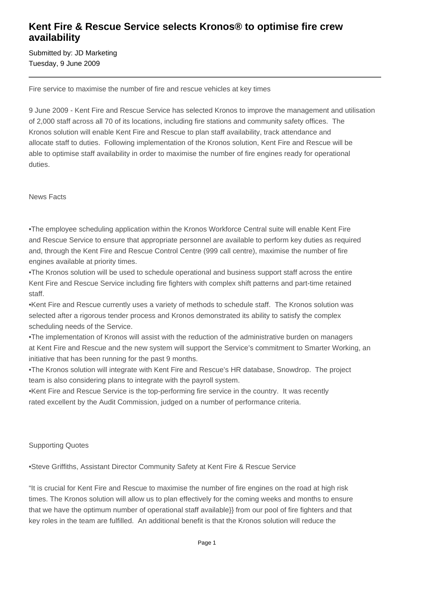## **Kent Fire & Rescue Service selects Kronos® to optimise fire crew availability**

Submitted by: JD Marketing Tuesday, 9 June 2009

Fire service to maximise the number of fire and rescue vehicles at key times

9 June 2009 - Kent Fire and Rescue Service has selected Kronos to improve the management and utilisation of 2,000 staff across all 70 of its locations, including fire stations and community safety offices. The Kronos solution will enable Kent Fire and Rescue to plan staff availability, track attendance and allocate staff to duties. Following implementation of the Kronos solution, Kent Fire and Rescue will be able to optimise staff availability in order to maximise the number of fire engines ready for operational duties.

#### News Facts

• The employee scheduling application within the Kronos Workforce Central suite will enable Kent Fire and Rescue Service to ensure that appropriate personnel are available to perform key duties as required and, through the Kent Fire and Rescue Control Centre (999 call centre), maximise the number of fire engines available at priority times.

• The Kronos solution will be used to schedule operational and business support staff across the entire Kent Fire and Rescue Service including fire fighters with complex shift patterns and part-time retained staff.

• Kent Fire and Rescue currently uses a variety of methods to schedule staff. The Kronos solution was selected after a rigorous tender process and Kronos demonstrated its ability to satisfy the complex scheduling needs of the Service.

• The implementation of Kronos will assist with the reduction of the administrative burden on managers at Kent Fire and Rescue and the new system will support the Service's commitment to Smarter Working, an initiative that has been running for the past 9 months.

• The Kronos solution will integrate with Kent Fire and Rescue's HR database, Snowdrop. The project team is also considering plans to integrate with the payroll system.

• Kent Fire and Rescue Service is the top-performing fire service in the country. It was recently rated excellent by the Audit Commission, judged on a number of performance criteria.

### Supporting Quotes

• Steve Griffiths, Assistant Director Community Safety at Kent Fire & Rescue Service

"It is crucial for Kent Fire and Rescue to maximise the number of fire engines on the road at high risk times. The Kronos solution will allow us to plan effectively for the coming weeks and months to ensure that we have the optimum number of operational staff available}} from our pool of fire fighters and that key roles in the team are fulfilled. An additional benefit is that the Kronos solution will reduce the